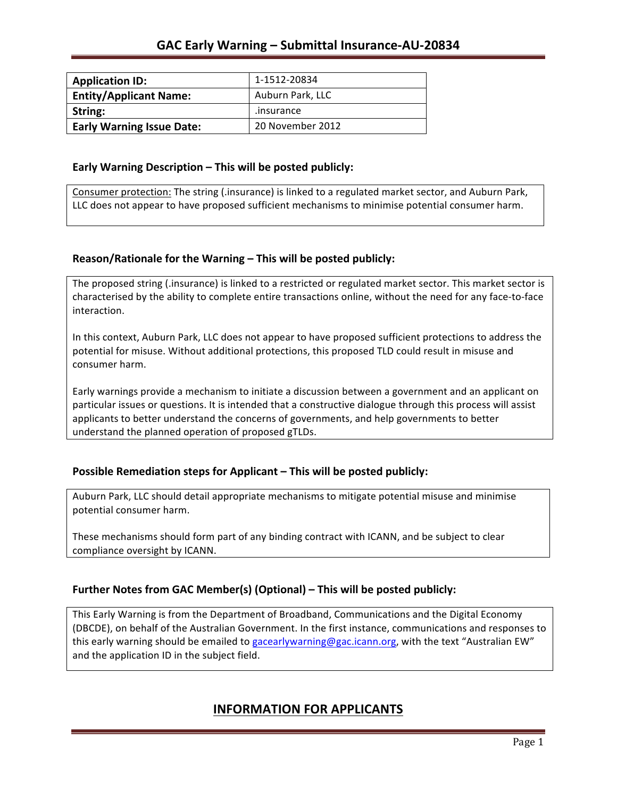| <b>Application ID:</b>           | 1-1512-20834     |
|----------------------------------|------------------|
| <b>Entity/Applicant Name:</b>    | Auburn Park, LLC |
| String:                          | .insurance       |
| <b>Early Warning Issue Date:</b> | 20 November 2012 |

### **Early Warning Description – This will be posted publicly:**

Consumer protection: The string (.insurance) is linked to a regulated market sector, and Auburn Park, LLC does not appear to have proposed sufficient mechanisms to minimise potential consumer harm.

### **Reason/Rationale for the Warning – This will be posted publicly:**

The proposed string (.insurance) is linked to a restricted or regulated market sector. This market sector is characterised by the ability to complete entire transactions online, without the need for any face-to-face interaction.

In this context, Auburn Park, LLC does not appear to have proposed sufficient protections to address the potential for misuse. Without additional protections, this proposed TLD could result in misuse and consumer harm.

Early warnings provide a mechanism to initiate a discussion between a government and an applicant on particular issues or questions. It is intended that a constructive dialogue through this process will assist applicants to better understand the concerns of governments, and help governments to better understand the planned operation of proposed gTLDs.

### **Possible Remediation steps for Applicant – This will be posted publicly:**

Auburn Park, LLC should detail appropriate mechanisms to mitigate potential misuse and minimise potential consumer harm.

These mechanisms should form part of any binding contract with ICANN, and be subject to clear compliance oversight by ICANN.

### **Further Notes from GAC Member(s) (Optional)** – This will be posted publicly:

This Early Warning is from the Department of Broadband, Communications and the Digital Economy (DBCDE), on behalf of the Australian Government. In the first instance, communications and responses to this early warning should be emailed to gacearlywarning@gac.icann.org, with the text "Australian EW" and the application ID in the subject field.

## **INFORMATION FOR APPLICANTS**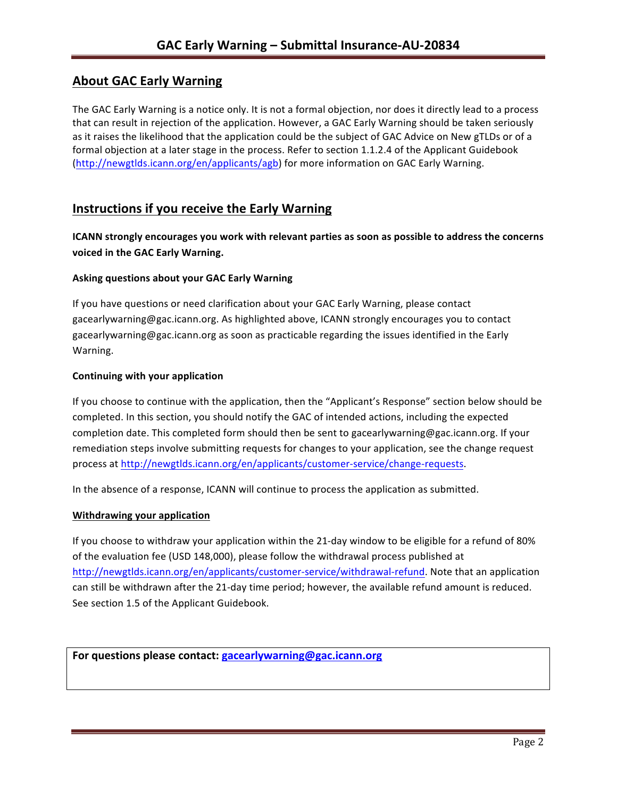# **About GAC Early Warning**

The GAC Early Warning is a notice only. It is not a formal objection, nor does it directly lead to a process that can result in rejection of the application. However, a GAC Early Warning should be taken seriously as it raises the likelihood that the application could be the subject of GAC Advice on New gTLDs or of a formal objection at a later stage in the process. Refer to section 1.1.2.4 of the Applicant Guidebook (http://newgtlds.icann.org/en/applicants/agb) for more information on GAC Early Warning.

## **Instructions if you receive the Early Warning**

**ICANN** strongly encourages you work with relevant parties as soon as possible to address the concerns **voiced in the GAC Early Warning.** 

### **Asking questions about your GAC Early Warning**

If you have questions or need clarification about your GAC Early Warning, please contact gacearlywarning@gac.icann.org. As highlighted above, ICANN strongly encourages you to contact gacearlywarning@gac.icann.org as soon as practicable regarding the issues identified in the Early Warning. 

#### **Continuing with your application**

If you choose to continue with the application, then the "Applicant's Response" section below should be completed. In this section, you should notify the GAC of intended actions, including the expected completion date. This completed form should then be sent to gacearlywarning@gac.icann.org. If your remediation steps involve submitting requests for changes to your application, see the change request process at http://newgtlds.icann.org/en/applicants/customer-service/change-requests.

In the absence of a response, ICANN will continue to process the application as submitted.

#### **Withdrawing your application**

If you choose to withdraw your application within the 21-day window to be eligible for a refund of 80% of the evaluation fee (USD 148,000), please follow the withdrawal process published at http://newgtlds.icann.org/en/applicants/customer-service/withdrawal-refund. Note that an application can still be withdrawn after the 21-day time period; however, the available refund amount is reduced. See section 1.5 of the Applicant Guidebook.

```
For questions please contact: gacearlywarning@gac.icann.org
```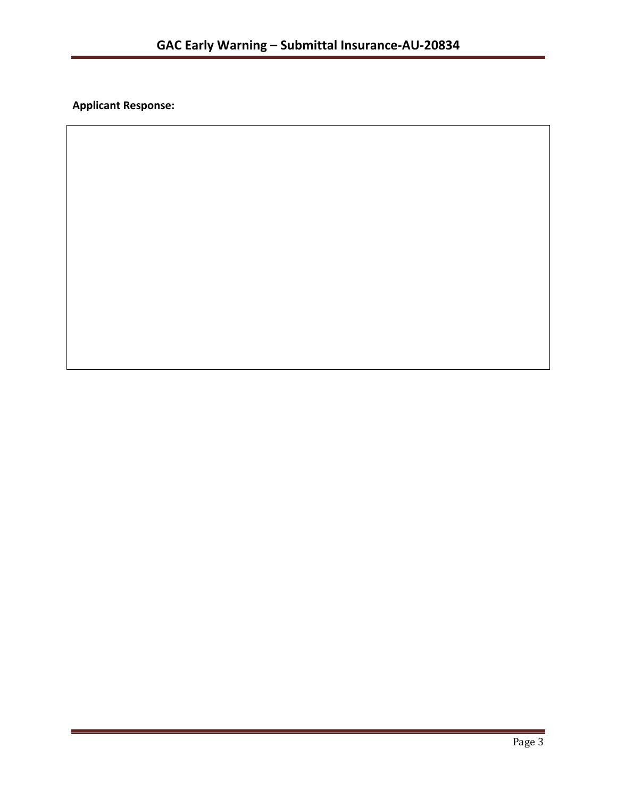**Applicant Response:**